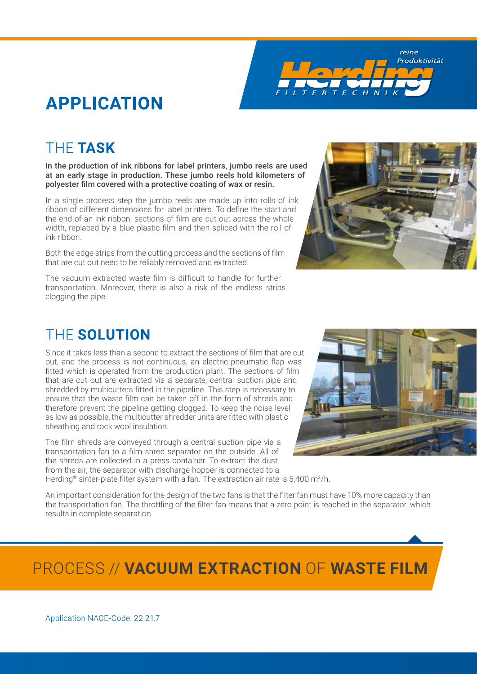**APPLICATION**

### THE **TASK**

In the production of ink ribbons for label printers, jumbo reels are used at an early stage in production. These jumbo reels hold kilometers of polyester film covered with a protective coating of wax or resin.

In a single process step the jumbo reels are made up into rolls of ink ribbon of different dimensions for label printers. To define the start and the end of an ink ribbon, sections of film are cut out across the whole width, replaced by a blue plastic film and then spliced with the roll of ink ribbon.

Both the edge strips from the cutting process and the sections of film that are cut out need to be reliably removed and extracted.

The vacuum extracted waste film is difficult to handle for further transportation. Moreover, there is also a risk of the endless strips clogging the pipe.

### THE **SOLUTION**

Since it takes less than a second to extract the sections of film that are cut out, and the process is not continuous, an electric-pneumatic flap was fitted which is operated from the production plant. The sections of film that are cut out are extracted via a separate, central suction pipe and shredded by multicutters fitted in the pipeline. This step is necessary to ensure that the waste film can be taken off in the form of shreds and therefore prevent the pipeline getting clogged. To keep the noise level as low as possible, the multicutter shredder units are fitted with plastic sheathing and rock wool insulation.

The film shreds are conveyed through a central suction pipe via a transportation fan to a film shred separator on the outside. All of the shreds are collected in a press container. To extract the dust from the air, the separator with discharge hopper is connected to a Herding<sup>®</sup> sinter-plate filter system with a fan. The extraction air rate is 5,400 m<sup>3</sup>/h.

An important consideration for the design of the two fans is that the filter fan must have 10% more capacity than the transportation fan. The throttling of the filter fan means that a zero point is reached in the separator, which results in complete separation.

# PROCESS // **VACUUM EXTRACTION** OF **WASTE FILM**